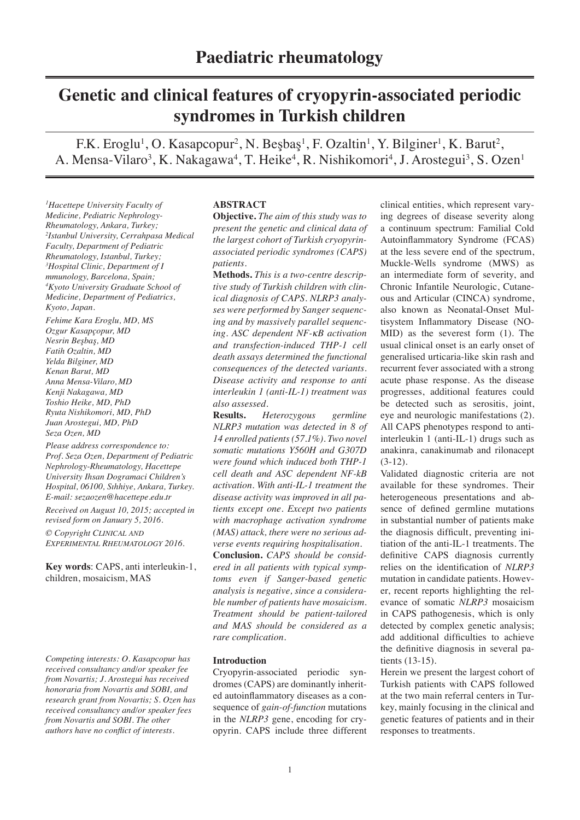# **Genetic and clinical features of cryopyrin-associated periodic syndromes in Turkish children**

F.K. Eroglu<sup>1</sup>, O. Kasapcopur<sup>2</sup>, N. Beşbaş<sup>1</sup>, F. Ozaltin<sup>1</sup>, Y. Bilginer<sup>1</sup>, K. Barut<sup>2</sup>, A. Mensa-Vilaro<sup>3</sup>, K. Nakagawa<sup>4</sup>, T. Heike<sup>4</sup>, R. Nishikomori<sup>4</sup>, J. Arostegui<sup>3</sup>, S. Ozen<sup>1</sup>

*1 Hacettepe University Faculty of Medicine, Pediatric Nephrology-Rheumatology, Ankara, Turkey; 2 Istanbul University, Cerrahpasa Medical Faculty, Department of Pediatric Rheumatology, Istanbul, Turkey; 3 Hospital Clinic, Department of I mmunology, Barcelona, Spain; 4 Kyoto University Graduate School of Medicine, Department of Pediatrics, Kyoto, Japan.*

*Fehime Kara Eroglu, MD, MS Ozgur Kasapçopur, MD Nesrin Beşbaş, MD Fatih Ozaltin, MD Yelda Bilginer, MD Kenan Barut, MD Anna Mensa-Vilaro, MD Kenji Nakagawa, MD Toshio Heike, MD, PhD Ryuta Nishikomori, MD, PhD Juan Arostegui, MD, PhD Seza Ozen, MD*

*Please address correspondence to: Prof. Seza Ozen, Department of Pediatric Nephrology-Rheumatology, Hacettepe University Ihsan Dogramaci Children's Hospital, 06100, Sıhhiye, Ankara, Turkey. E-mail: sezaozen@hacettepe.edu.tr Received on August 10, 2015; accepted in revised form on January 5, 2016. © Copyright Clinical and Experimental Rheumatology 2016.*

**Key words**: CAPS, anti interleukin-1, children, mosaicism, MAS

*Competing interests: O. Kasapcopur has received consultancy and/or speaker fee from Novartis; J. Arostegui has received honoraria from Novartis and SOBI, and research grant from Novartis; S. Ozen has received consultancy and/or speaker fees from Novartis and SOBI. The other authors have no conflict of interests.*

# **ABSTRACT**

**Objective.** *The aim of this study was to present the genetic and clinical data of the largest cohort of Turkish cryopyrinassociated periodic syndromes (CAPS) patients*.

**Methods.** *This is a two-centre descriptive study of Turkish children with clinical diagnosis of CAPS. NLRP3 analyses were performed by Sanger sequencing and by massively parallel sequencing. ASC dependent NF-*κ*B activation and transfection-induced THP-1 cell death assays determined the functional consequences of the detected variants. Disease activity and response to anti interleukin 1 (anti-IL-1) treatment was also assessed.*

**Results.** *Heterozygous germline NLRP3 mutation was detected in 8 of 14 enrolled patients (57.1%). Two novel somatic mutations Y560H and G307D were found which induced both THP-1 cell death and ASC dependent NF-kB activation. With anti-IL-1 treatment the disease activity was improved in all patients except one. Except two patients with macrophage activation syndrome (MAS) attack, there were no serious adverse events requiring hospitalisation.*

**Conclusion.** *CAPS should be considered in all patients with typical symptoms even if Sanger-based genetic analysis is negative, since a considerable number of patients have mosaicism. Treatment should be patient-tailored and MAS should be considered as a rare complication.*

#### **Introduction**

Cryopyrin-associated periodic syndromes (CAPS) are dominantly inherited autoinflammatory diseases as a consequence of *gain-of-function* mutations in the *NLRP3* gene, encoding for cryopyrin. CAPS include three different

clinical entities, which represent varying degrees of disease severity along a continuum spectrum: Familial Cold Autoinflammatory Syndrome (FCAS) at the less severe end of the spectrum, Muckle-Wells syndrome (MWS) as an intermediate form of severity, and Chronic Infantile Neurologic, Cutaneous and Articular (CINCA) syndrome, also known as Neonatal-Onset Multisystem Inflammatory Disease (NO-MID) as the severest form (1). The usual clinical onset is an early onset of generalised urticaria-like skin rash and recurrent fever associated with a strong acute phase response. As the disease progresses, additional features could be detected such as serositis, joint, eye and neurologic manifestations (2). All CAPS phenotypes respond to antiinterleukin 1 (anti-IL-1) drugs such as anakinra, canakinumab and rilonacept (3-12).

Validated diagnostic criteria are not available for these syndromes. Their heterogeneous presentations and absence of defined germline mutations in substantial number of patients make the diagnosis difficult, preventing initiation of the anti-IL-1 treatments. The definitive CAPS diagnosis currently relies on the identification of *NLRP3* mutation in candidate patients. However, recent reports highlighting the relevance of somatic *NLRP3* mosaicism in CAPS pathogenesis, which is only detected by complex genetic analysis; add additional difficulties to achieve the definitive diagnosis in several patients (13-15).

Herein we present the largest cohort of Turkish patients with CAPS followed at the two main referral centers in Turkey, mainly focusing in the clinical and genetic features of patients and in their responses to treatments.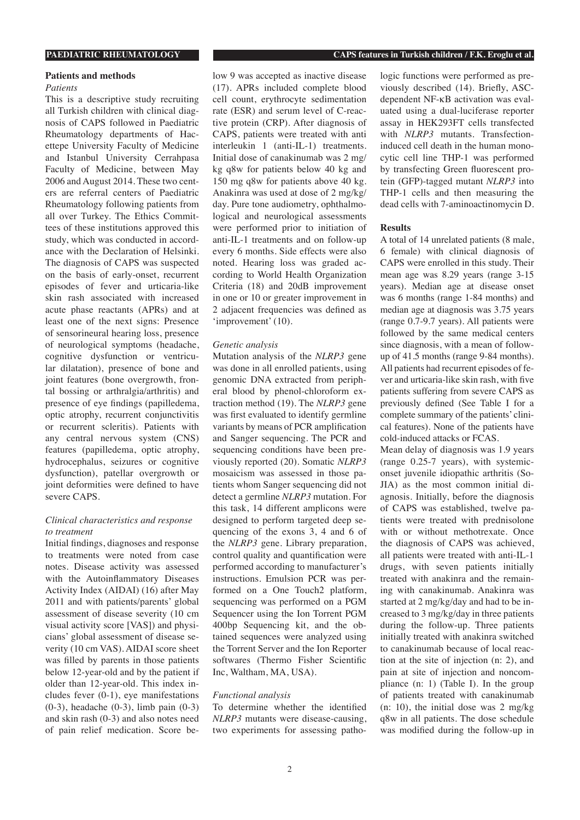#### **Patients and methods**

#### *Patients*

This is a descriptive study recruiting all Turkish children with clinical diagnosis of CAPS followed in Paediatric Rheumatology departments of Hacettepe University Faculty of Medicine and Istanbul University Cerrahpasa Faculty of Medicine, between May 2006 and August 2014. These two centers are referral centers of Paediatric Rheumatology following patients from all over Turkey. The Ethics Committees of these institutions approved this study, which was conducted in accordance with the Declaration of Helsinki. The diagnosis of CAPS was suspected on the basis of early-onset, recurrent episodes of fever and urticaria-like skin rash associated with increased acute phase reactants (APRs) and at least one of the next signs: Presence of sensorineural hearing loss, presence of neurological symptoms (headache, cognitive dysfunction or ventricular dilatation), presence of bone and joint features (bone overgrowth, frontal bossing or arthralgia/arthritis) and presence of eye findings (papilledema, optic atrophy, recurrent conjunctivitis or recurrent scleritis). Patients with any central nervous system (CNS) features (papilledema, optic atrophy, hydrocephalus, seizures or cognitive dysfunction), patellar overgrowth or joint deformities were defined to have severe CAPS.

# *Clinical characteristics and response to treatment*

Initial findings, diagnoses and response to treatments were noted from case notes. Disease activity was assessed with the Autoinflammatory Diseases Activity Index (AIDAI) (16) after May 2011 and with patients/parents' global assessment of disease severity (10 cm visual activity score [VAS]) and physicians' global assessment of disease severity (10 cm VAS). AIDAI score sheet was filled by parents in those patients below 12-year-old and by the patient if older than 12-year-old. This index includes fever (0-1), eye manifestations (0-3), headache (0-3), limb pain (0-3) and skin rash (0-3) and also notes need of pain relief medication. Score be-

low 9 was accepted as inactive disease (17). APRs included complete blood cell count, erythrocyte sedimentation rate (ESR) and serum level of C-reactive protein (CRP). After diagnosis of CAPS, patients were treated with anti interleukin 1 (anti-IL-1) treatments. Initial dose of canakinumab was 2 mg/ kg q8w for patients below 40 kg and 150 mg q8w for patients above 40 kg. Anakinra was used at dose of 2 mg/kg/ day. Pure tone audiometry, ophthalmological and neurological assessments were performed prior to initiation of anti-IL-1 treatments and on follow-up every 6 months. Side effects were also noted. Hearing loss was graded according to World Health Organization Criteria (18) and 20dB improvement in one or 10 or greater improvement in 2 adjacent frequencies was defined as 'improvement' (10).

### *Genetic analysis*

Mutation analysis of the *NLRP3* gene was done in all enrolled patients, using genomic DNA extracted from peripheral blood by phenol-chloroform extraction method (19). The *NLRP3* gene was first evaluated to identify germline variants by means of PCR amplification and Sanger sequencing. The PCR and sequencing conditions have been previously reported (20). Somatic *NLRP3* mosaicism was assessed in those patients whom Sanger sequencing did not detect a germline *NLRP3* mutation. For this task, 14 different amplicons were designed to perform targeted deep sequencing of the exons 3, 4 and 6 of the *NLRP3* gene. Library preparation, control quality and quantification were performed according to manufacturer's instructions. Emulsion PCR was performed on a One Touch2 platform, sequencing was performed on a PGM Sequencer using the Ion Torrent PGM 400bp Sequencing kit, and the obtained sequences were analyzed using the Torrent Server and the Ion Reporter softwares (Thermo Fisher Scientific Inc, Waltham, MA, USA).

#### *Functional analysis*

To determine whether the identified *NLRP3* mutants were disease-causing, two experiments for assessing patho-

logic functions were performed as previously described (14). Briefly, ASCdependent NF-kB activation was evaluated using a dual-luciferase reporter assay in HEK293FT cells transfected with *NLRP3* mutants. Transfectioninduced cell death in the human monocytic cell line THP-1 was performed by transfecting Green fluorescent protein (GFP)-tagged mutant *NLRP3* into THP-1 cells and then measuring the dead cells with 7-aminoactinomycin D.

# **Results**

A total of 14 unrelated patients (8 male, 6 female) with clinical diagnosis of CAPS were enrolled in this study. Their mean age was 8.29 years (range 3-15 years). Median age at disease onset was 6 months (range 1-84 months) and median age at diagnosis was 3.75 years (range 0.7-9.7 years). All patients were followed by the same medical centers since diagnosis, with a mean of followup of 41.5 months (range 9-84 months). All patients had recurrent episodes of fever and urticaria-like skin rash, with five patients suffering from severe CAPS as previously defined (See Table I for a complete summary of the patients' clinical features). None of the patients have cold-induced attacks or FCAS.

Mean delay of diagnosis was 1.9 years (range 0.25-7 years), with systemiconset juvenile idiopathic arthritis (So-JIA) as the most common initial diagnosis. Initially, before the diagnosis of CAPS was established, twelve patients were treated with prednisolone with or without methotrexate. Once the diagnosis of CAPS was achieved, all patients were treated with anti-IL-1 drugs, with seven patients initially treated with anakinra and the remaining with canakinumab. Anakinra was started at 2 mg/kg/day and had to be increased to 3 mg/kg/day in three patients during the follow-up. Three patients initially treated with anakinra switched to canakinumab because of local reaction at the site of injection (n: 2), and pain at site of injection and noncompliance (n: 1) (Table I). In the group of patients treated with canakinumab (n: 10), the initial dose was 2 mg/kg q8w in all patients. The dose schedule was modified during the follow-up in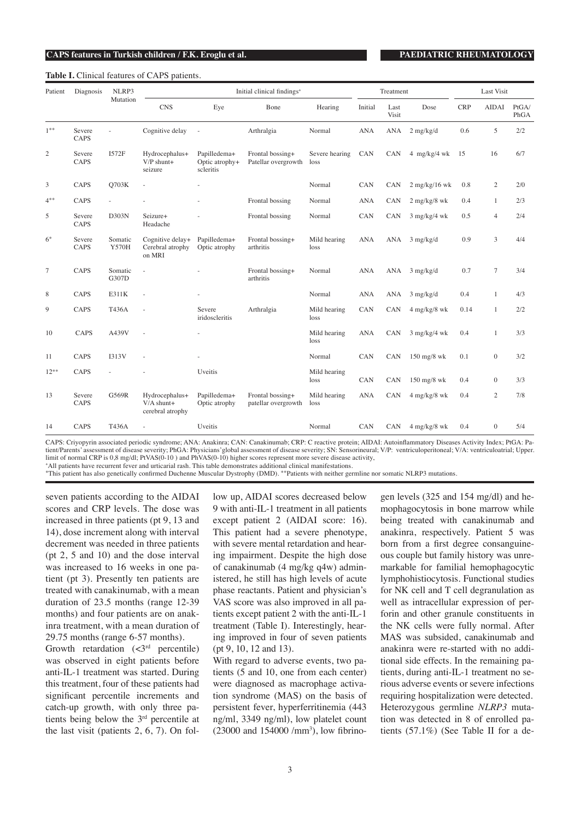#### **Table I.** Clinical features of CAPS patients.

| Patient        | Diagnosis      | NLRP3<br>Mutation       | Initial clinical findings <sup>+</sup>             |                                             |                                         |                        | Treatment  |               |                        | <b>Last Visit</b> |                |               |
|----------------|----------------|-------------------------|----------------------------------------------------|---------------------------------------------|-----------------------------------------|------------------------|------------|---------------|------------------------|-------------------|----------------|---------------|
|                |                |                         | <b>CNS</b>                                         | Eye                                         | Bone                                    | Hearing                | Initial    | Last<br>Visit | Dose                   | <b>CRP</b>        | <b>AIDAI</b>   | PtGA/<br>PhGA |
| $1***$         | Severe<br>CAPS | ä,                      | Cognitive delay                                    | ÷,                                          | Arthralgia                              | Normal                 | <b>ANA</b> | <b>ANA</b>    | $2$ mg/kg/d            | 0.6               | 5              | 2/2           |
| $\overline{c}$ | Severe<br>CAPS | <b>I572F</b>            | Hydrocephalus+<br>$V/P$ shunt+<br>seizure          | Papilledema+<br>Optic atrophy+<br>scleritis | Frontal bossing+<br>Patellar overgrowth | Severe hearing<br>loss | CAN        | CAN           | 4 mg/kg/4 wk           | 15                | 16             | 6/7           |
| 3              | CAPS           | Q703K                   |                                                    |                                             |                                         | Normal                 | CAN        | CAN           | $2$ mg/kg/16 wk        | 0.8               | 2              | 2/0           |
| $4^{**}$       | CAPS           |                         |                                                    |                                             | Frontal bossing                         | Normal                 | <b>ANA</b> | CAN           | $2$ mg/kg/8 wk         | 0.4               | 1              | 2/3           |
| 5              | Severe<br>CAPS | D303N                   | Seizure+<br>Headache                               |                                             | Frontal bossing                         | Normal                 | CAN        | CAN           | $3$ mg/kg/4 wk         | 0.5               | $\overline{4}$ | 2/4           |
| $6*$           | Severe<br>CAPS | Somatic<br><b>Y570H</b> | Cognitive delay+<br>Cerebral atrophy<br>on MRI     | Papilledema+<br>Optic atrophy               | Frontal bossing+<br>arthritis           | Mild hearing<br>loss   | <b>ANA</b> | ANA           | $3$ mg/kg/d            | 0.9               | 3              | 4/4           |
| $\tau$         | CAPS           | Somatic<br>G307D        | i.                                                 |                                             | Frontal bossing+<br>arthritis           | Normal                 | <b>ANA</b> | ANA           | $3$ mg/kg/d            | 0.7               | $\overline{7}$ | 3/4           |
| 8              | CAPS           | E311K                   | J.                                                 |                                             |                                         | Normal                 | <b>ANA</b> | ANA           | $3$ mg/kg/d            | 0.4               | $\mathbf{1}$   | 4/3           |
| 9              | CAPS           | T436A                   |                                                    | Severe<br>iridoscleritis                    | Arthralgia                              | Mild hearing<br>loss   | CAN        | CAN           | $4$ mg/kg/8 wk         | 0.14              | $\mathbf{1}$   | 2/2           |
| 10             | CAPS           | A439V                   |                                                    |                                             |                                         | Mild hearing<br>loss   | <b>ANA</b> | CAN           | $3$ mg/kg/4 wk         | 0.4               | $\mathbf{1}$   | 3/3           |
| 11             | CAPS           | <b>I313V</b>            |                                                    |                                             |                                         | Normal                 | CAN        | CAN           | $150 \text{ mg}$ /8 wk | 0.1               | $\mathbf{0}$   | 3/2           |
| $12***$        | CAPS           |                         |                                                    | Uveitis                                     |                                         | Mild hearing<br>loss   | CAN        | CAN           | $150$ mg/8 wk          | 0.4               | $\overline{0}$ | 3/3           |
| 13             | Severe<br>CAPS | G569R                   | Hydrocephalus+<br>$V/A$ shunt+<br>cerebral atrophy | Papilledema+<br>Optic atrophy               | Frontal bossing+<br>patellar overgrowth | Mild hearing<br>loss   | <b>ANA</b> | CAN           | $4$ mg/kg/8 wk         | 0.4               | $\overline{c}$ | 7/8           |
| 14             | CAPS           | T436A                   | $\sim$                                             | Uveitis                                     |                                         | Normal                 | CAN        | CAN           | $4$ mg/kg/8 wk         | 0.4               | $\overline{0}$ | 5/4           |

CAPS: Criyopyrin associated periodic syndrome; ANA: Anakinra; CAN: Canakinumab; CRP: C reactive protein; AIDAI: Autoinflammatory Diseases Activity Index; PtGA: Patient/Parents' assessment of disease severity; PhGA: Physicians'global assessment of disease severity; SN: Sensorineural; V/P: ventriculoperitoneal; V/A: ventriculoatrial; Upper. limit of normal CRP is 0,8 mg/dl; PtVAS(0-10 ) and PhVAS(0-10) higher scores represent more severe disease activity,

<sup>+</sup>All patients have recurrent fever and urticarial rash. This table demonstrates additional clinical manifestations.

\*This patient has also genetically confirmed Duchenne Muscular Dystrophy (DMD). \*\*Patients with neither germline nor somatic NLRP3 mutations.

seven patients according to the AIDAI scores and CRP levels. The dose was increased in three patients (pt 9, 13 and 14), dose increment along with interval decrement was needed in three patients (pt 2, 5 and 10) and the dose interval was increased to 16 weeks in one patient (pt 3). Presently ten patients are treated with canakinumab, with a mean duration of 23.5 months (range 12-39 months) and four patients are on anakinra treatment, with a mean duration of 29.75 months (range 6-57 months).

Growth retardation  $(*3*<sup>rd</sup> percentile)$ was observed in eight patients before anti-IL-1 treatment was started. During this treatment, four of these patients had significant percentile increments and catch-up growth, with only three patients being below the 3rd percentile at the last visit (patients 2, 6, 7). On follow up, AIDAI scores decreased below 9 with anti-IL-1 treatment in all patients except patient 2 (AIDAI score: 16). This patient had a severe phenotype, with severe mental retardation and hearing impairment. Despite the high dose of canakinumab (4 mg/kg q4w) administered, he still has high levels of acute phase reactants. Patient and physician's VAS score was also improved in all patients except patient 2 with the anti-IL-1 treatment (Table I). Interestingly, hearing improved in four of seven patients (pt 9, 10, 12 and 13).

With regard to adverse events, two patients (5 and 10, one from each center) were diagnosed as macrophage activation syndrome (MAS) on the basis of persistent fever, hyperferritinemia (443 ng/ml, 3349 ng/ml), low platelet count  $(23000 \text{ and } 154000 / \text{mm}^3)$ , low fibrinogen levels (325 and 154 mg/dl) and hemophagocytosis in bone marrow while being treated with canakinumab and anakinra, respectively. Patient 5 was born from a first degree consanguineous couple but family history was unremarkable for familial hemophagocytic lymphohistiocytosis. Functional studies for NK cell and T cell degranulation as well as intracellular expression of perforin and other granule constituents in the NK cells were fully normal. After MAS was subsided, canakinumab and anakinra were re-started with no additional side effects. In the remaining patients, during anti-IL-1 treatment no serious adverse events or severe infections requiring hospitalization were detected. Heterozygous germline *NLRP3* mutation was detected in 8 of enrolled patients (57.1%) (See Table II for a de-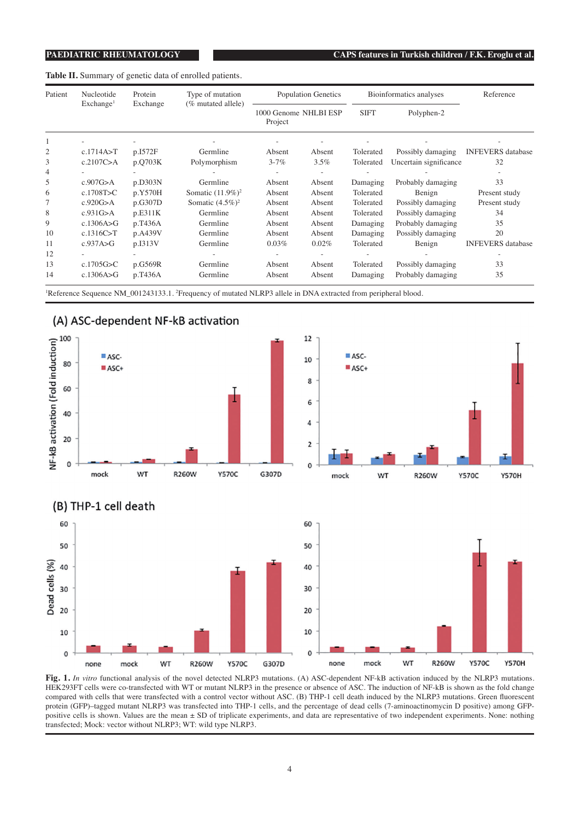**Table II.** Summary of genetic data of enrolled patients.

| Patient        | Nucleotide            | Protein  | Type of mutation<br>(% mutated allele)                                                                                                 | <b>Population Genetics</b><br>1000 Genome NHLBI ESP<br>Project |        |             | Bioinformatics analyses | Reference                |  |
|----------------|-----------------------|----------|----------------------------------------------------------------------------------------------------------------------------------------|----------------------------------------------------------------|--------|-------------|-------------------------|--------------------------|--|
|                | Exchange <sup>1</sup> | Exchange |                                                                                                                                        |                                                                |        | <b>SIFT</b> | Polyphen-2              |                          |  |
|                |                       |          |                                                                                                                                        |                                                                |        |             |                         |                          |  |
| $\overline{c}$ | c.1714A > T           | p.I572F  | Germline                                                                                                                               | Absent                                                         | Absent | Tolerated   | Possibly damaging       | <b>INFEVERS</b> database |  |
| 3              | c.2107C>A             | p.Q703K  | Polymorphism                                                                                                                           | $3 - 7\%$                                                      | 3.5%   | Tolerated   | Uncertain significance  | 32                       |  |
| 4              |                       |          |                                                                                                                                        |                                                                |        |             |                         |                          |  |
| 5              | c.907G>A              | p.D303N  | Germline                                                                                                                               | Absent                                                         | Absent | Damaging    | Probably damaging       | 33                       |  |
| 6              | c.1708T>C             | p.Y570H  | Somatic $(11.9\%)^2$                                                                                                                   | Absent                                                         | Absent | Tolerated   | Benign                  | Present study            |  |
| 7              | c.920G>A              | p.G307D  | Somatic $(4.5\%)^2$                                                                                                                    | Absent                                                         | Absent | Tolerated   | Possibly damaging       | Present study            |  |
| 8              | c.931G>A              | p.E311K  | Germline                                                                                                                               | Absent                                                         | Absent | Tolerated   | Possibly damaging       | 34                       |  |
| 9              | c.1306A $\gt$ G       | p.T436A  | Germline                                                                                                                               | Absent                                                         | Absent | Damaging    | Probably damaging       | 35                       |  |
| 10             | c.1316C > T           | p.A439V  | Germline                                                                                                                               | Absent                                                         | Absent | Damaging    | Possibly damaging       | 20                       |  |
| 11             | c.937A > G            | p.I313V  | Germline                                                                                                                               | 0.03%                                                          | 0.02%  | Tolerated   | Benign                  | <b>INFEVERS</b> database |  |
| 12             |                       |          |                                                                                                                                        |                                                                | $\sim$ |             |                         |                          |  |
| 13             | c.1705G $\gtrsim$ C   | p.G569R  | Germline                                                                                                                               | Absent                                                         | Absent | Tolerated   | Possibly damaging       | 33                       |  |
| 14             | c.1306A $\gt$ G       | p.T436A  | Germline                                                                                                                               | Absent                                                         | Absent | Damaging    | Probably damaging       | 35                       |  |
|                |                       |          | <sup>1</sup> Reference Sequence NM_001243133.1. <sup>2</sup> Frequency of mutated NLRP3 allele in DNA extracted from peripheral blood. |                                                                |        |             |                         |                          |  |







**Fig. 1.** *In vitro* functional analysis of the novel detected NLRP3 mutations. (A) ASC-dependent NF-kB activation induced by the NLRP3 mutations. HEK293FT cells were co-transfected with WT or mutant NLRP3 in the presence or absence of ASC. The induction of NF-kB is shown as the fold change compared with cells that were transfected with a control vector without ASC. (B) THP-1 cell death induced by the NLRP3 mutations. Green fluorescent protein (GFP)–tagged mutant NLRP3 was transfected into THP-1 cells, and the percentage of dead cells (7-aminoactinomycin D positive) among GFPpositive cells is shown. Values are the mean ± SD of triplicate experiments, and data are representative of two independent experiments. None: nothing transfected; Mock: vector without NLRP3; WT: wild type NLRP3.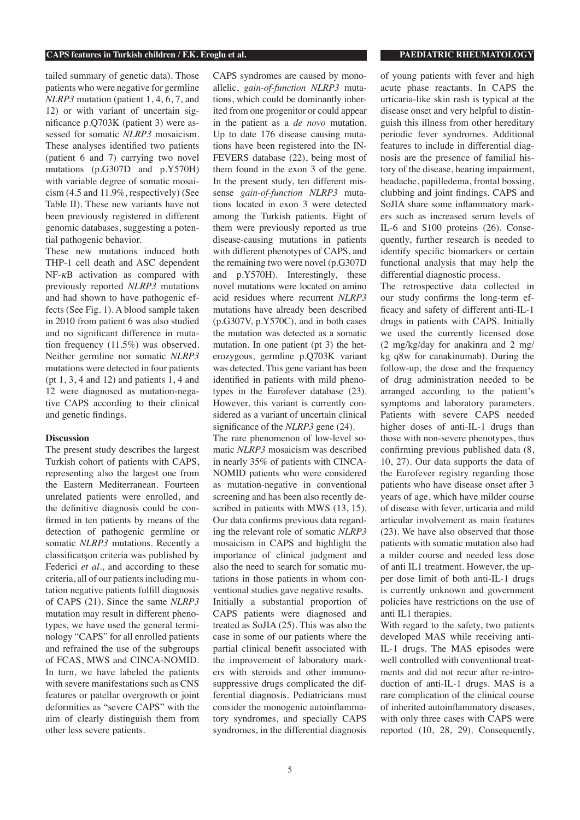### **CAPS features in Turkish children / F.K. Eroglu et al. PAEDIATRIC RHEUMATOLOGY**

tailed summary of genetic data). Those patients who were negative for germline *NLRP3* mutation (patient 1, 4, 6, 7, and 12) or with variant of uncertain significance p.Q703K (patient 3) were assessed for somatic *NLRP3* mosaicism. These analyses identified two patients (patient 6 and 7) carrying two novel mutations (p.G307D and p.Y570H) with variable degree of somatic mosaicism (4.5 and 11.9%, respectively) (See Table II). These new variants have not been previously registered in different genomic databases, suggesting a potential pathogenic behavior.

These new mutations induced both THP-1 cell death and ASC dependent NF-κB activation as compared with previously reported *NLRP3* mutations and had shown to have pathogenic effects (See Fig. 1). A blood sample taken in 2010 from patient 6 was also studied and no significant difference in mutation frequency (11.5%) was observed. Neither germline nor somatic *NLRP3* mutations were detected in four patients (pt 1, 3, 4 and 12) and patients 1, 4 and 12 were diagnosed as mutation-negative CAPS according to their clinical and genetic findings.

### **Discussion**

The present study describes the largest Turkish cohort of patients with CAPS, representing also the largest one from the Eastern Mediterranean. Fourteen unrelated patients were enrolled, and the definitive diagnosis could be confirmed in ten patients by means of the detection of pathogenic germline or somatic *NLRP3* mutations. Recently a classificatşon criteria was published by Federici *et al*., and according to these criteria, all of our patients including mutation negative patients fulfill diagnosis of CAPS (21). Since the same *NLRP3* mutation may result in different phenotypes, we have used the general terminology "CAPS" for all enrolled patients and refrained the use of the subgroups of FCAS, MWS and CINCA-NOMID. In turn, we have labeled the patients with severe manifestations such as CNS features or patellar overgrowth or joint deformities as "severe CAPS" with the aim of clearly distinguish them from other less severe patients.

CAPS syndromes are caused by monoallelic, *gain-of-function NLRP3* mutations, which could be dominantly inherited from one progenitor or could appear in the patient as a *de novo* mutation. Up to date 176 disease causing mutations have been registered into the IN-FEVERS database (22), being most of them found in the exon 3 of the gene. In the present study, ten different missense *gain-of-function NLRP3* mutations located in exon 3 were detected among the Turkish patients. Eight of them were previously reported as true disease-causing mutations in patients with different phenotypes of CAPS, and the remaining two were novel (p.G307D and p.Y570H). Interestingly, these novel mutations were located on amino acid residues where recurrent *NLRP3* mutations have already been described (p.G307V, p.Y570C), and in both cases the mutation was detected as a somatic mutation. In one patient (pt 3) the heterozygous, germline p.Q703K variant was detected. This gene variant has been identified in patients with mild phenotypes in the Eurofever database (23). However, this variant is currently considered as a variant of uncertain clinical significance of the *NLRP3* gene (24).

The rare phenomenon of low-level somatic *NLRP3* mosaicism was described in nearly 35% of patients with CINCA-NOMID patients who were considered as mutation-negative in conventional screening and has been also recently described in patients with MWS (13, 15). Our data confirms previous data regarding the relevant role of somatic *NLRP3* mosaicism in CAPS and highlight the importance of clinical judgment and also the need to search for somatic mutations in those patients in whom conventional studies gave negative results. Initially a substantial proportion of CAPS patients were diagnosed and treated as SoJIA (25). This was also the case in some of our patients where the partial clinical benefit associated with the improvement of laboratory markers with steroids and other immunosuppressive drugs complicated the differential diagnosis. Pediatricians must consider the monogenic autoinflammatory syndromes, and specially CAPS syndromes, in the differential diagnosis

of young patients with fever and high acute phase reactants. In CAPS the urticaria-like skin rash is typical at the disease onset and very helpful to distinguish this illness from other hereditary periodic fever syndromes. Additional features to include in differential diagnosis are the presence of familial history of the disease, hearing impairment, headache, papilledema, frontal bossing, clubbing and joint findings. CAPS and SoJIA share some inflammatory markers such as increased serum levels of IL-6 and S100 proteins (26). Consequently, further research is needed to identify specific biomarkers or certain functional analysis that may help the differential diagnostic process.

The retrospective data collected in our study confirms the long-term efficacy and safety of different anti-IL-1 drugs in patients with CAPS. Initially we used the currently licensed dose (2 mg/kg/day for anakinra and 2 mg/ kg q8w for canakinumab). During the follow-up, the dose and the frequency of drug administration needed to be arranged according to the patient's symptoms and laboratory parameters. Patients with severe CAPS needed higher doses of anti-IL-1 drugs than those with non-severe phenotypes, thus confirming previous published data (8, 10, 27). Our data supports the data of the Eurofever registry regarding those patients who have disease onset after 3 years of age, which have milder course of disease with fever, urticaria and mild articular involvement as main features (23). We have also observed that those patients with somatic mutation also had a milder course and needed less dose of anti IL1 treatment. However, the upper dose limit of both anti-IL-1 drugs is currently unknown and government policies have restrictions on the use of anti IL1 therapies.

With regard to the safety, two patients developed MAS while receiving anti-IL-1 drugs. The MAS episodes were well controlled with conventional treatments and did not recur after re-introduction of anti-IL-1 drugs. MAS is a rare complication of the clinical course of inherited autoinflammatory diseases, with only three cases with CAPS were reported (10, 28, 29). Consequently,